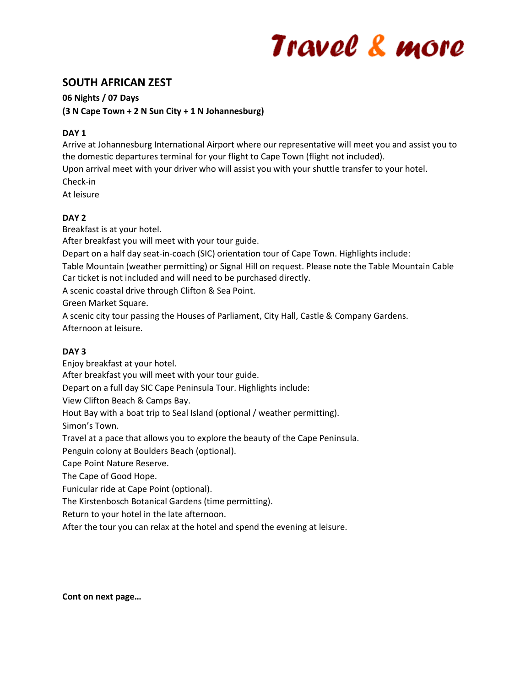# Travel & more

# **SOUTH AFRICAN ZEST**

**06 Nights / 07 Days** 

**(3 N Cape Town + 2 N Sun City + 1 N Johannesburg)**

# **DAY 1**

Arrive at Johannesburg International Airport where our representative will meet you and assist you to the domestic departures terminal for your flight to Cape Town (flight not included).

Upon arrival meet with your driver who will assist you with your shuttle transfer to your hotel. Check-in

At leisure

# **DAY 2**

Breakfast is at your hotel.

After breakfast you will meet with your tour guide.

Depart on a half day seat-in-coach (SIC) orientation tour of Cape Town. Highlights include:

Table Mountain (weather permitting) or Signal Hill on request. Please note the Table Mountain Cable Car ticket is not included and will need to be purchased directly.

A scenic coastal drive through Clifton & Sea Point.

Green Market Square.

A scenic city tour passing the Houses of Parliament, City Hall, Castle & Company Gardens. Afternoon at leisure.

#### **DAY 3**

Enjoy breakfast at your hotel. After breakfast you will meet with your tour guide. Depart on a full day SIC Cape Peninsula Tour. Highlights include: View Clifton Beach & Camps Bay. Hout Bay with a boat trip to Seal Island (optional / weather permitting). Simon's Town. Travel at a pace that allows you to explore the beauty of the Cape Peninsula. Penguin colony at Boulders Beach (optional). Cape Point Nature Reserve. The Cape of Good Hope.

Funicular ride at Cape Point (optional).

The Kirstenbosch Botanical Gardens (time permitting).

Return to your hotel in the late afternoon.

After the tour you can relax at the hotel and spend the evening at leisure.

**Cont on next page…**